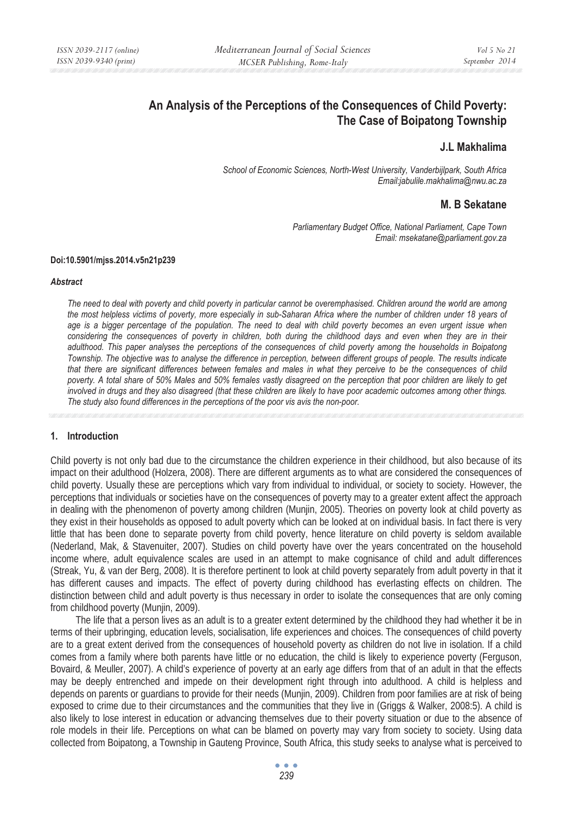# **An Analysis of the Perceptions of the Consequences of Child Poverty: The Case of Boipatong Township**

# **J.L Makhalima**

*School of Economic Sciences, North-West University, Vanderbijlpark, South Africa Email:jabulile.makhalima@nwu.ac.za* 

## **M. B Sekatane**

*Parliamentary Budget Office, National Parliament, Cape Town Email: msekatane@parliament.gov.za* 

#### **Doi:10.5901/mjss.2014.v5n21p239**

#### *Abstract*

*The need to deal with poverty and child poverty in particular cannot be overemphasised. Children around the world are among the most helpless victims of poverty, more especially in sub-Saharan Africa where the number of children under 18 years of*  age is a bigger percentage of the population. The need to deal with child poverty becomes an even urgent issue when *considering the consequences of poverty in children, both during the childhood days and even when they are in their adulthood. This paper analyses the perceptions of the consequences of child poverty among the households in Boipatong Township. The objective was to analyse the difference in perception, between different groups of people. The results indicate that there are significant differences between females and males in what they perceive to be the consequences of child poverty. A total share of 50% Males and 50% females vastly disagreed on the perception that poor children are likely to get involved in drugs and they also disagreed (that these children are likely to have poor academic outcomes among other things. The study also found differences in the perceptions of the poor vis avis the non-poor.* 

#### **1. Introduction**

Child poverty is not only bad due to the circumstance the children experience in their childhood, but also because of its impact on their adulthood (Holzera, 2008). There are different arguments as to what are considered the consequences of child poverty. Usually these are perceptions which vary from individual to individual, or society to society. However, the perceptions that individuals or societies have on the consequences of poverty may to a greater extent affect the approach in dealing with the phenomenon of poverty among children (Munjin, 2005). Theories on poverty look at child poverty as they exist in their households as opposed to adult poverty which can be looked at on individual basis. In fact there is very little that has been done to separate poverty from child poverty, hence literature on child poverty is seldom available (Nederland, Mak, & Stavenuiter, 2007). Studies on child poverty have over the years concentrated on the household income where, adult equivalence scales are used in an attempt to make cognisance of child and adult differences (Streak, Yu, & van der Berg, 2008). It is therefore pertinent to look at child poverty separately from adult poverty in that it has different causes and impacts. The effect of poverty during childhood has everlasting effects on children. The distinction between child and adult poverty is thus necessary in order to isolate the consequences that are only coming from childhood poverty (Munjin, 2009).

The life that a person lives as an adult is to a greater extent determined by the childhood they had whether it be in terms of their upbringing, education levels, socialisation, life experiences and choices. The consequences of child poverty are to a great extent derived from the consequences of household poverty as children do not live in isolation. If a child comes from a family where both parents have little or no education, the child is likely to experience poverty (Ferguson, Bovaird, & Meuller, 2007). A child's experience of poverty at an early age differs from that of an adult in that the effects may be deeply entrenched and impede on their development right through into adulthood. A child is helpless and depends on parents or guardians to provide for their needs (Munjin, 2009). Children from poor families are at risk of being exposed to crime due to their circumstances and the communities that they live in (Griggs & Walker, 2008:5). A child is also likely to lose interest in education or advancing themselves due to their poverty situation or due to the absence of role models in their life. Perceptions on what can be blamed on poverty may vary from society to society. Using data collected from Boipatong, a Township in Gauteng Province, South Africa, this study seeks to analyse what is perceived to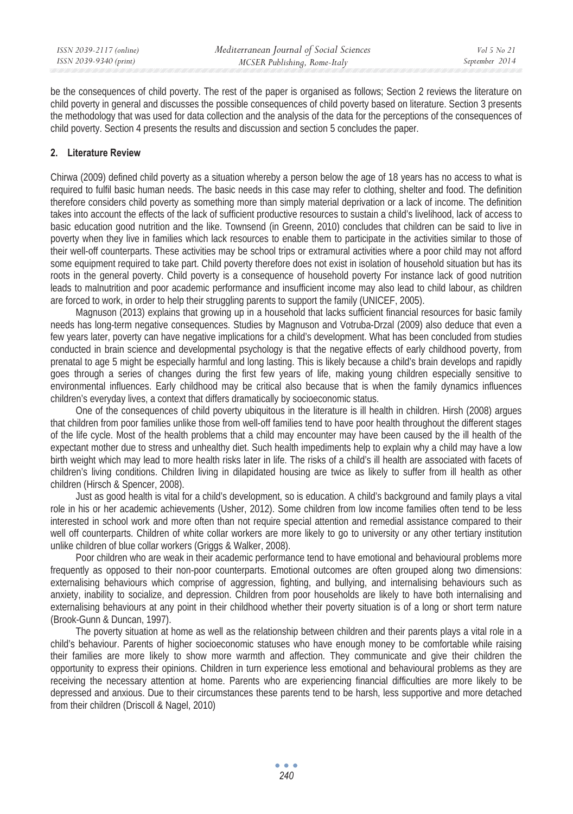be the consequences of child poverty. The rest of the paper is organised as follows; Section 2 reviews the literature on child poverty in general and discusses the possible consequences of child poverty based on literature. Section 3 presents the methodology that was used for data collection and the analysis of the data for the perceptions of the consequences of child poverty. Section 4 presents the results and discussion and section 5 concludes the paper.

## **2. Literature Review**

Chirwa (2009) defined child poverty as a situation whereby a person below the age of 18 years has no access to what is required to fulfil basic human needs. The basic needs in this case may refer to clothing, shelter and food. The definition therefore considers child poverty as something more than simply material deprivation or a lack of income. The definition takes into account the effects of the lack of sufficient productive resources to sustain a child's livelihood, lack of access to basic education good nutrition and the like. Townsend (in Greenn, 2010) concludes that children can be said to live in poverty when they live in families which lack resources to enable them to participate in the activities similar to those of their well-off counterparts. These activities may be school trips or extramural activities where a poor child may not afford some equipment required to take part. Child poverty therefore does not exist in isolation of household situation but has its roots in the general poverty. Child poverty is a consequence of household poverty For instance lack of good nutrition leads to malnutrition and poor academic performance and insufficient income may also lead to child labour, as children are forced to work, in order to help their struggling parents to support the family (UNICEF, 2005).

Magnuson (2013) explains that growing up in a household that lacks sufficient financial resources for basic family needs has long-term negative consequences. Studies by Magnuson and Votruba-Drzal (2009) also deduce that even a few years later, poverty can have negative implications for a child's development. What has been concluded from studies conducted in brain science and developmental psychology is that the negative effects of early childhood poverty, from prenatal to age 5 might be especially harmful and long lasting. This is likely because a child's brain develops and rapidly goes through a series of changes during the first few years of life, making young children especially sensitive to environmental influences. Early childhood may be critical also because that is when the family dynamics influences children's everyday lives, a context that differs dramatically by socioeconomic status.

One of the consequences of child poverty ubiquitous in the literature is ill health in children. Hirsh (2008) argues that children from poor families unlike those from well-off families tend to have poor health throughout the different stages of the life cycle. Most of the health problems that a child may encounter may have been caused by the ill health of the expectant mother due to stress and unhealthy diet. Such health impediments help to explain why a child may have a low birth weight which may lead to more health risks later in life. The risks of a child's ill health are associated with facets of children's living conditions. Children living in dilapidated housing are twice as likely to suffer from ill health as other children (Hirsch & Spencer, 2008).

Just as good health is vital for a child's development, so is education. A child's background and family plays a vital role in his or her academic achievements (Usher, 2012). Some children from low income families often tend to be less interested in school work and more often than not require special attention and remedial assistance compared to their well off counterparts. Children of white collar workers are more likely to go to university or any other tertiary institution unlike children of blue collar workers (Griggs & Walker, 2008).

Poor children who are weak in their academic performance tend to have emotional and behavioural problems more frequently as opposed to their non-poor counterparts. Emotional outcomes are often grouped along two dimensions: externalising behaviours which comprise of aggression, fighting, and bullying, and internalising behaviours such as anxiety, inability to socialize, and depression. Children from poor households are likely to have both internalising and externalising behaviours at any point in their childhood whether their poverty situation is of a long or short term nature (Brook-Gunn & Duncan, 1997).

The poverty situation at home as well as the relationship between children and their parents plays a vital role in a child's behaviour. Parents of higher socioeconomic statuses who have enough money to be comfortable while raising their families are more likely to show more warmth and affection. They communicate and give their children the opportunity to express their opinions. Children in turn experience less emotional and behavioural problems as they are receiving the necessary attention at home. Parents who are experiencing financial difficulties are more likely to be depressed and anxious. Due to their circumstances these parents tend to be harsh, less supportive and more detached from their children (Driscoll & Nagel, 2010)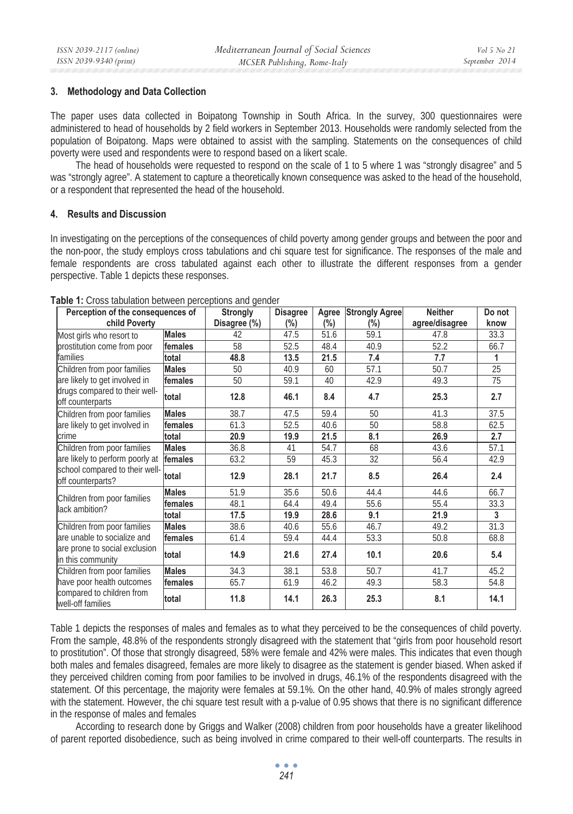### **3. Methodology and Data Collection**

The paper uses data collected in Boipatong Township in South Africa. In the survey, 300 questionnaires were administered to head of households by 2 field workers in September 2013. Households were randomly selected from the population of Boipatong. Maps were obtained to assist with the sampling. Statements on the consequences of child poverty were used and respondents were to respond based on a likert scale.

The head of households were requested to respond on the scale of 1 to 5 where 1 was "strongly disagree" and 5 was "strongly agree". A statement to capture a theoretically known consequence was asked to the head of the household, or a respondent that represented the head of the household.

### **4. Results and Discussion**

In investigating on the perceptions of the consequences of child poverty among gender groups and between the poor and the non-poor, the study employs cross tabulations and chi square test for significance. The responses of the male and female respondents are cross tabulated against each other to illustrate the different responses from a gender perspective. Table 1 depicts these responses.

| Perception of the consequences of                                                      |              | <b>Strongly</b> | <b>Disagree</b> | Agree   | <b>Strongly Agree</b> | <b>Neither</b> | Do not |
|----------------------------------------------------------------------------------------|--------------|-----------------|-----------------|---------|-----------------------|----------------|--------|
| child Poverty                                                                          |              | Disagree (%)    | $(\% )$         | $(\% )$ | $(\% )$               | agree/disagree | know   |
| Most girls who resort to                                                               | <b>Males</b> | 42              | 47.5            | 51.6    | 59.1                  | 47.8           | 33.3   |
| prostitution come from poor                                                            | females      | 58              | 52.5            | 48.4    | 40.9                  | 52.2           | 66.7   |
| families                                                                               | total        | 48.8            | 13.5            | 21.5    | 7.4                   | 7.7            | 1      |
| Children from poor families                                                            | <b>Males</b> | 50              | 40.9            | 60      | 57.1                  | 50.7           | 25     |
| are likely to get involved in<br>drugs compared to their well-<br>off counterparts     | females      | 50              | 59.1            | 40      | 42.9                  | 49.3           | 75     |
|                                                                                        | total        | 12.8            | 46.1            | 8.4     | 4.7                   | 25.3           | 2.7    |
| Children from poor families                                                            | <b>Males</b> | 38.7            | 47.5            | 59.4    | 50                    | 41.3           | 37.5   |
| are likely to get involved in                                                          | females      | 61.3            | 52.5            | 40.6    | 50                    | 58.8           | 62.5   |
| <b>crime</b>                                                                           | total        | 20.9            | 19.9            | 21.5    | 8.1                   | 26.9           | 2.7    |
| Children from poor families                                                            | <b>Males</b> | 36.8            | 41              | 54.7    | 68                    | 43.6           | 57.1   |
| are likely to perform poorly at<br>school compared to their well-<br>off counterparts? | females      | 63.2            | 59              | 45.3    | 32                    | 56.4           | 42.9   |
|                                                                                        | total        | 12.9            | 28.1            | 21.7    | 8.5                   | 26.4           | 2.4    |
| Children from poor families<br>lack ambition?                                          | <b>Males</b> | 51.9            | 35.6            | 50.6    | 44.4                  | 44.6           | 66.7   |
|                                                                                        | females      | 48.1            | 64.4            | 49.4    | 55.6                  | 55.4           | 33.3   |
|                                                                                        | total        | 17.5            | 19.9            | 28.6    | 9.1                   | 21.9           | 3      |
| Children from poor families                                                            | <b>Males</b> | 38.6            | 40.6            | 55.6    | 46.7                  | 49.2           | 31.3   |
| are unable to socialize and                                                            | females      | 61.4            | 59.4            | 44.4    | 53.3                  | 50.8           | 68.8   |
| are prone to social exclusion<br>in this community                                     | total        | 14.9            | 21.6            | 27.4    | 10.1                  | 20.6           | 5.4    |
| Children from poor families                                                            | <b>Males</b> | 34.3            | 38.1            | 53.8    | 50.7                  | 41.7           | 45.2   |
| have poor health outcomes                                                              | females      | 65.7            | 61.9            | 46.2    | 49.3                  | 58.3           | 54.8   |
| compared to children from<br>well-off families                                         | total        | 11.8            | 14.1            | 26.3    | 25.3                  | 8.1            | 14.1   |

**Table 1:** Cross tabulation between perceptions and gender

Table 1 depicts the responses of males and females as to what they perceived to be the consequences of child poverty. From the sample, 48.8% of the respondents strongly disagreed with the statement that "girls from poor household resort to prostitution". Of those that strongly disagreed, 58% were female and 42% were males. This indicates that even though both males and females disagreed, females are more likely to disagree as the statement is gender biased. When asked if they perceived children coming from poor families to be involved in drugs, 46.1% of the respondents disagreed with the statement. Of this percentage, the majority were females at 59.1%. On the other hand, 40.9% of males strongly agreed with the statement. However, the chi square test result with a p-value of 0.95 shows that there is no significant difference in the response of males and females

According to research done by Griggs and Walker (2008) children from poor households have a greater likelihood of parent reported disobedience, such as being involved in crime compared to their well-off counterparts. The results in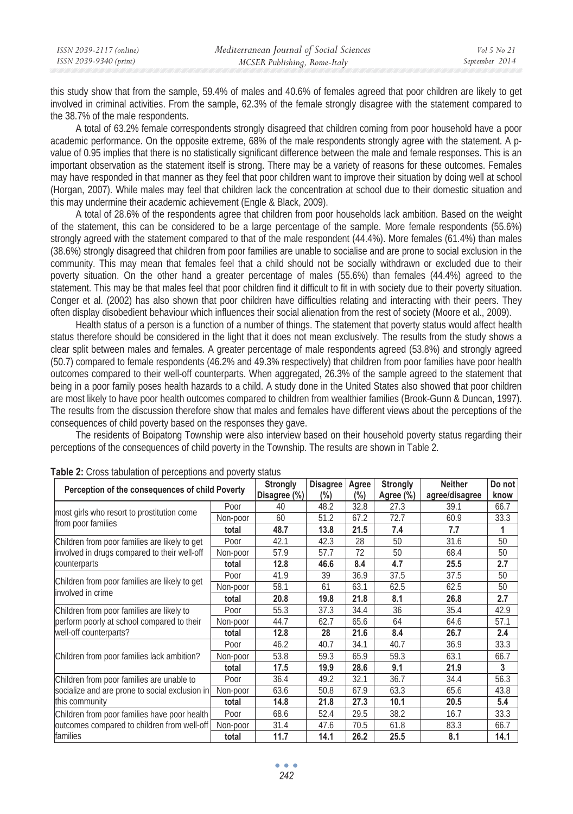this study show that from the sample, 59.4% of males and 40.6% of females agreed that poor children are likely to get involved in criminal activities. From the sample, 62.3% of the female strongly disagree with the statement compared to the 38.7% of the male respondents.

A total of 63.2% female correspondents strongly disagreed that children coming from poor household have a poor academic performance. On the opposite extreme, 68% of the male respondents strongly agree with the statement. A pvalue of 0.95 implies that there is no statistically significant difference between the male and female responses. This is an important observation as the statement itself is strong. There may be a variety of reasons for these outcomes. Females may have responded in that manner as they feel that poor children want to improve their situation by doing well at school (Horgan, 2007). While males may feel that children lack the concentration at school due to their domestic situation and this may undermine their academic achievement (Engle & Black, 2009).

A total of 28.6% of the respondents agree that children from poor households lack ambition. Based on the weight of the statement, this can be considered to be a large percentage of the sample. More female respondents (55.6%) strongly agreed with the statement compared to that of the male respondent (44.4%). More females (61.4%) than males (38.6%) strongly disagreed that children from poor families are unable to socialise and are prone to social exclusion in the community. This may mean that females feel that a child should not be socially withdrawn or excluded due to their poverty situation. On the other hand a greater percentage of males (55.6%) than females (44.4%) agreed to the statement. This may be that males feel that poor children find it difficult to fit in with society due to their poverty situation. Conger et al. (2002) has also shown that poor children have difficulties relating and interacting with their peers. They often display disobedient behaviour which influences their social alienation from the rest of society (Moore et al., 2009).

Health status of a person is a function of a number of things. The statement that poverty status would affect health status therefore should be considered in the light that it does not mean exclusively. The results from the study shows a clear split between males and females. A greater percentage of male respondents agreed (53.8%) and strongly agreed (50.7) compared to female respondents (46.2% and 49.3% respectively) that children from poor families have poor health outcomes compared to their well-off counterparts. When aggregated, 26.3% of the sample agreed to the statement that being in a poor family poses health hazards to a child. A study done in the United States also showed that poor children are most likely to have poor health outcomes compared to children from wealthier families (Brook-Gunn & Duncan, 1997). The results from the discussion therefore show that males and females have different views about the perceptions of the consequences of child poverty based on the responses they gave.

The residents of Boipatong Township were also interview based on their household poverty status regarding their perceptions of the consequences of child poverty in the Township. The results are shown in Table 2.

| Perception of the consequences of child Poverty                    | Strongly<br>Disagree (%) | Disagree<br>$(\% )$ | Agree<br>(%) | <b>Strongly</b><br>Agree (%) | <b>Neither</b><br>agree/disagree | Do not<br>know |      |
|--------------------------------------------------------------------|--------------------------|---------------------|--------------|------------------------------|----------------------------------|----------------|------|
|                                                                    | Poor                     | 40                  | 48.2         | 32.8                         | 27.3                             | 39.1           | 66.7 |
| most girls who resort to prostitution come<br>from poor families   | Non-poor                 | 60                  | 51.2         | 67.2                         | 72.7                             | 60.9           | 33.3 |
|                                                                    | total                    | 48.7                | 13.8         | 21.5                         | 7.4                              | 7.7            | 1    |
| Children from poor families are likely to get                      | Poor                     | 42.1                | 42.3         | 28                           | 50                               | 31.6           | 50   |
| involved in drugs compared to their well-off                       | Non-poor                 | 57.9                | 57.7         | 72                           | 50                               | 68.4           | 50   |
| counterparts                                                       | total                    | 12.8                | 46.6         | 8.4                          | 4.7                              | 25.5           | 2.7  |
| Children from poor families are likely to get<br>involved in crime | Poor                     | 41.9                | 39           | 36.9                         | 37.5                             | 37.5           | 50   |
|                                                                    | Non-poor                 | 58.1                | 61           | 63.1                         | 62.5                             | 62.5           | 50   |
|                                                                    | total                    | 20.8                | 19.8         | 21.8                         | 8.1                              | 26.8           | 2.7  |
| Children from poor families are likely to                          | Poor                     | 55.3                | 37.3         | 34.4                         | 36                               | 35.4           | 42.9 |
| perform poorly at school compared to their                         | Non-poor                 | 44.7                | 62.7         | 65.6                         | 64                               | 64.6           | 57.1 |
| well-off counterparts?                                             | total                    | 12.8                | 28           | 21.6                         | 8.4                              | 26.7           | 2.4  |
|                                                                    | Poor                     | 46.2                | 40.7         | 34.1                         | 40.7                             | 36.9           | 33.3 |
| Children from poor families lack ambition?                         | Non-poor                 | 53.8                | 59.3         | 65.9                         | 59.3                             | 63.1           | 66.7 |
|                                                                    | total                    | 17.5                | 19.9         | 28.6                         | 9.1                              | 21.9           | 3    |
| Children from poor families are unable to                          | Poor                     | 36.4                | 49.2         | 32.1                         | 36.7                             | 34.4           | 56.3 |
| socialize and are prone to social exclusion in                     | Non-poor                 | 63.6                | 50.8         | 67.9                         | 63.3                             | 65.6           | 43.8 |
| this community                                                     | total                    | 14.8                | 21.8         | 27.3                         | 10.1                             | 20.5           | 5.4  |
| Children from poor families have poor health                       | Poor                     | 68.6                | 52.4         | 29.5                         | 38.2                             | 16.7           | 33.3 |
| outcomes compared to children from well-off                        | Non-poor                 | 31.4                | 47.6         | 70.5                         | 61.8                             | 83.3           | 66.7 |
| families                                                           | total                    | 11.7                | 14.1         | 26.2                         | 25.5                             | 8.1            | 14.1 |

**Table 2:** Cross tabulation of perceptions and poverty status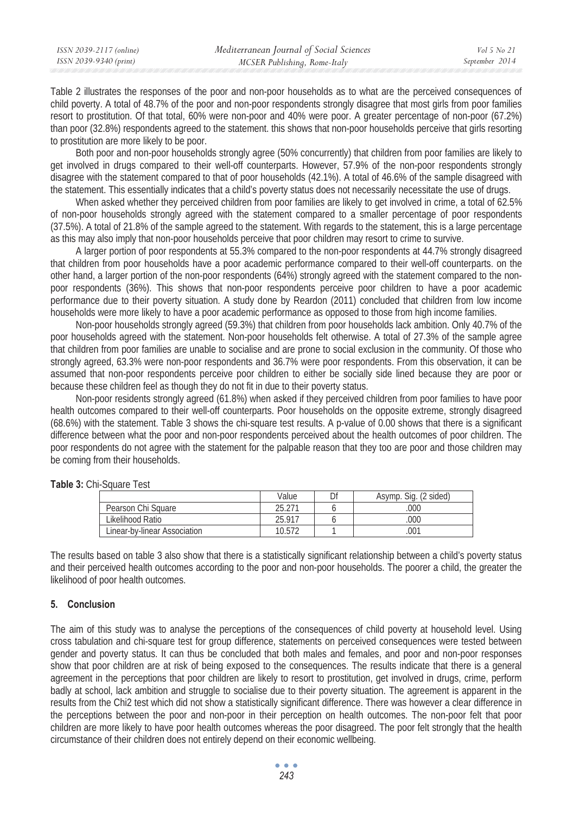Table 2 illustrates the responses of the poor and non-poor households as to what are the perceived consequences of child poverty. A total of 48.7% of the poor and non-poor respondents strongly disagree that most girls from poor families resort to prostitution. Of that total, 60% were non-poor and 40% were poor. A greater percentage of non-poor (67.2%) than poor (32.8%) respondents agreed to the statement. this shows that non-poor households perceive that girls resorting to prostitution are more likely to be poor.

Both poor and non-poor households strongly agree (50% concurrently) that children from poor families are likely to get involved in drugs compared to their well-off counterparts. However, 57.9% of the non-poor respondents strongly disagree with the statement compared to that of poor households (42.1%). A total of 46.6% of the sample disagreed with the statement. This essentially indicates that a child's poverty status does not necessarily necessitate the use of drugs.

When asked whether they perceived children from poor families are likely to get involved in crime, a total of 62.5% of non-poor households strongly agreed with the statement compared to a smaller percentage of poor respondents (37.5%). A total of 21.8% of the sample agreed to the statement. With regards to the statement, this is a large percentage as this may also imply that non-poor households perceive that poor children may resort to crime to survive.

A larger portion of poor respondents at 55.3% compared to the non-poor respondents at 44.7% strongly disagreed that children from poor households have a poor academic performance compared to their well-off counterparts. on the other hand, a larger portion of the non-poor respondents (64%) strongly agreed with the statement compared to the nonpoor respondents (36%). This shows that non-poor respondents perceive poor children to have a poor academic performance due to their poverty situation. A study done by Reardon (2011) concluded that children from low income households were more likely to have a poor academic performance as opposed to those from high income families.

Non-poor households strongly agreed (59.3%) that children from poor households lack ambition. Only 40.7% of the poor households agreed with the statement. Non-poor households felt otherwise. A total of 27.3% of the sample agree that children from poor families are unable to socialise and are prone to social exclusion in the community. Of those who strongly agreed, 63.3% were non-poor respondents and 36.7% were poor respondents. From this observation, it can be assumed that non-poor respondents perceive poor children to either be socially side lined because they are poor or because these children feel as though they do not fit in due to their poverty status.

Non-poor residents strongly agreed (61.8%) when asked if they perceived children from poor families to have poor health outcomes compared to their well-off counterparts. Poor households on the opposite extreme, strongly disagreed (68.6%) with the statement. Table 3 shows the chi-square test results. A p-value of 0.00 shows that there is a significant difference between what the poor and non-poor respondents perceived about the health outcomes of poor children. The poor respondents do not agree with the statement for the palpable reason that they too are poor and those children may be coming from their households.

|                              | Value  | n. | Asymp. Sig. (2 sided) |
|------------------------------|--------|----|-----------------------|
| Pearson Chi Square           | 25.271 |    | 000                   |
| Likelihood Ratio             | 25.917 |    | 000                   |
| Linear-by-linear Association | 10.572 |    | 001                   |

**Table 3:** Chi-Square Test

The results based on table 3 also show that there is a statistically significant relationship between a child's poverty status and their perceived health outcomes according to the poor and non-poor households. The poorer a child, the greater the likelihood of poor health outcomes.

#### **5. Conclusion**

The aim of this study was to analyse the perceptions of the consequences of child poverty at household level. Using cross tabulation and chi-square test for group difference, statements on perceived consequences were tested between gender and poverty status. It can thus be concluded that both males and females, and poor and non-poor responses show that poor children are at risk of being exposed to the consequences. The results indicate that there is a general agreement in the perceptions that poor children are likely to resort to prostitution, get involved in drugs, crime, perform badly at school, lack ambition and struggle to socialise due to their poverty situation. The agreement is apparent in the results from the Chi2 test which did not show a statistically significant difference. There was however a clear difference in the perceptions between the poor and non-poor in their perception on health outcomes. The non-poor felt that poor children are more likely to have poor health outcomes whereas the poor disagreed. The poor felt strongly that the health circumstance of their children does not entirely depend on their economic wellbeing.